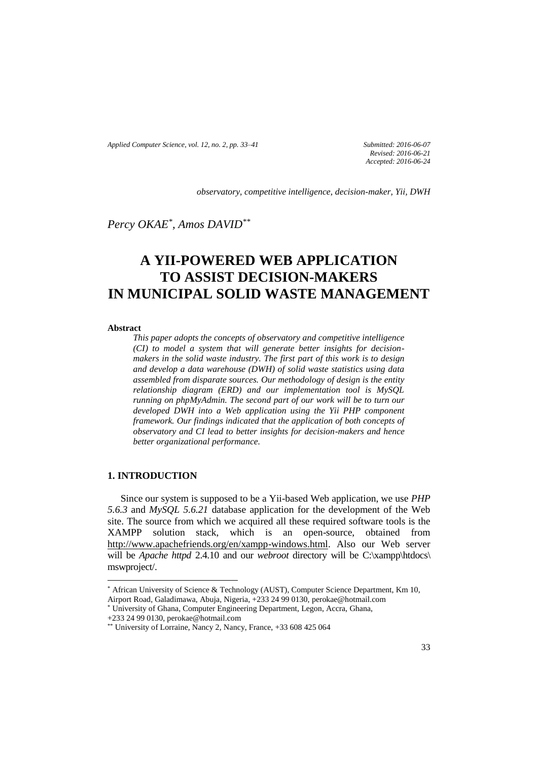*Applied Computer Science, vol. 12, no. 2, pp. 33–41 Submitted: 2016-06-07*

*Revised: 2016-06-21 Accepted: 2016-06-24*

*observatory, competitive intelligence, decision-maker, Yii, DWH*

*Percy OKAE\* , Amos DAVID\*\**

# **A YII-POWERED WEB APPLICATION TO ASSIST DECISION-MAKERS IN MUNICIPAL SOLID WASTE MANAGEMENT**

#### **Abstract**

*This paper adopts the concepts of observatory and competitive intelligence (CI) to model a system that will generate better insights for decisionmakers in the solid waste industry. The first part of this work is to design and develop a data warehouse (DWH) of solid waste statistics using data assembled from disparate sources. Our methodology of design is the entity relationship diagram (ERD) and our implementation tool is MySQL running on phpMyAdmin. The second part of our work will be to turn our developed DWH into a Web application using the Yii PHP component framework. Our findings indicated that the application of both concepts of observatory and CI lead to better insights for decision-makers and hence better organizational performance.* 

# **1. INTRODUCTION**

 $\overline{\phantom{a}}$ 

Since our system is supposed to be a Yii-based Web application, we use *PHP 5.6.3* and *MySQL 5.6.21* database application for the development of the Web site. The source from which we acquired all these required software tools is the XAMPP solution stack, which is an open-source, obtained from http://www.apachefriends.org/en/xampp-windows.html. Also our Web server will be *Apache httpd* 2.4.10 and our *webroot* directory will be C:\xampp\htdocs\ mswproject/.

<sup>\*</sup> African University of Science & Technology (AUST), Computer Science Department, Km 10, Airport Road, Galadimawa, Abuja, Nigeria, +233 24 99 0130, perokae@hotmail.com

<sup>\*</sup> University of Ghana, Computer Engineering Department, Legon, Accra, Ghana,

<sup>+233 24 99 0130,</sup> perokae@hotmail.com

<sup>\*\*</sup> University of Lorraine, Nancy 2, Nancy, France,  $+33\,608\,425\,064$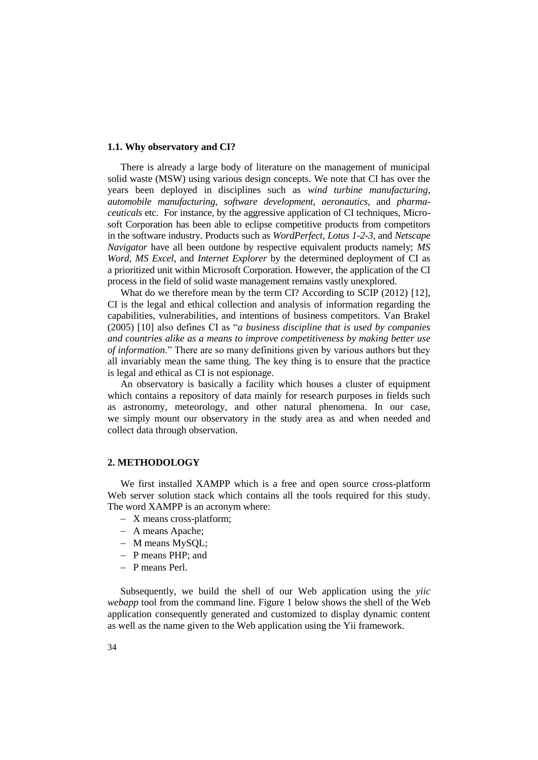#### **1.1. Why observatory and CI?**

There is already a large body of literature on the management of municipal solid waste (MSW) using various design concepts. We note that CI has over the years been deployed in disciplines such as *wind turbine manufacturing*, *automobile manufacturing*, *software development*, *aeronautics*, and *pharmaceuticals* etc. For instance, by the aggressive application of CI techniques, Microsoft Corporation has been able to eclipse competitive products from competitors in the software industry. Products such as *WordPerfect*, *Lotus 1-2-3*, and *Netscape Navigator* have all been outdone by respective equivalent products namely; *MS Word*, *MS Excel*, and *Internet Explorer* by the determined deployment of CI as a prioritized unit within Microsoft Corporation. However, the application of the CI process in the field of solid waste management remains vastly unexplored.

What do we therefore mean by the term CI? According to SCIP (2012) [12], CI is the legal and ethical collection and analysis of information regarding the capabilities, vulnerabilities, and intentions of business competitors. Van Brakel (2005) [10] also defines CI as "*a business discipline that is used by companies and countries alike as a means to improve competitiveness by making better use of information*." There are so many definitions given by various authors but they all invariably mean the same thing. The key thing is to ensure that the practice is legal and ethical as CI is not espionage.

An observatory is basically a facility which houses a cluster of equipment which contains a repository of data mainly for research purposes in fields such as astronomy, meteorology, and other natural phenomena. In our case, we simply mount our observatory in the study area as and when needed and collect data through observation.

## **2. METHODOLOGY**

We first installed XAMPP which is a free and open source cross-platform Web server solution stack which contains all the tools required for this study. The word XAMPP is an acronym where:

- X means cross-platform;
- A means Apache:
- M means MySOL:
- P means PHP; and
- P means Perl.

Subsequently, we build the shell of our Web application using the *yiic webapp* tool from the command line. Figure 1 below shows the shell of the Web application consequently generated and customized to display dynamic content as well as the name given to the Web application using the Yii framework.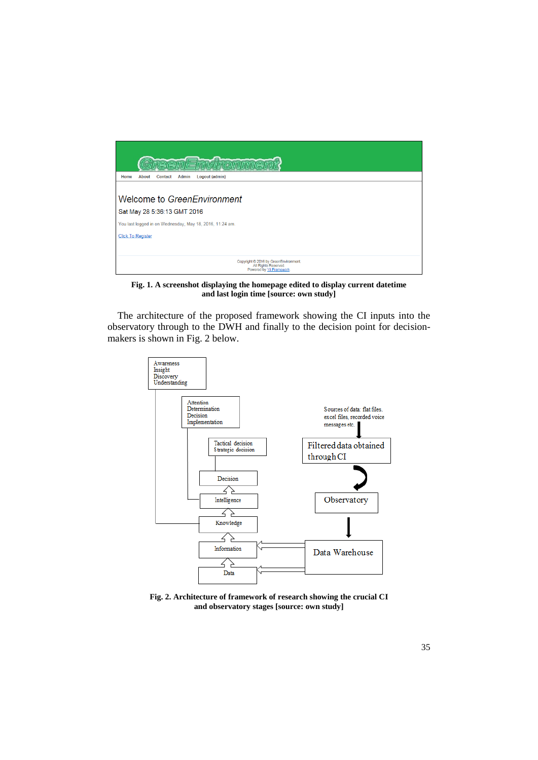

**Fig. 1. A screenshot displaying the homepage edited to display current datetime and last login time [source: own study]**

The architecture of the proposed framework showing the CI inputs into the observatory through to the DWH and finally to the decision point for decisionmakers is shown in Fig. 2 below.



**Fig. 2. Architecture of framework of research showing the crucial CI and observatory stages [source: own study]**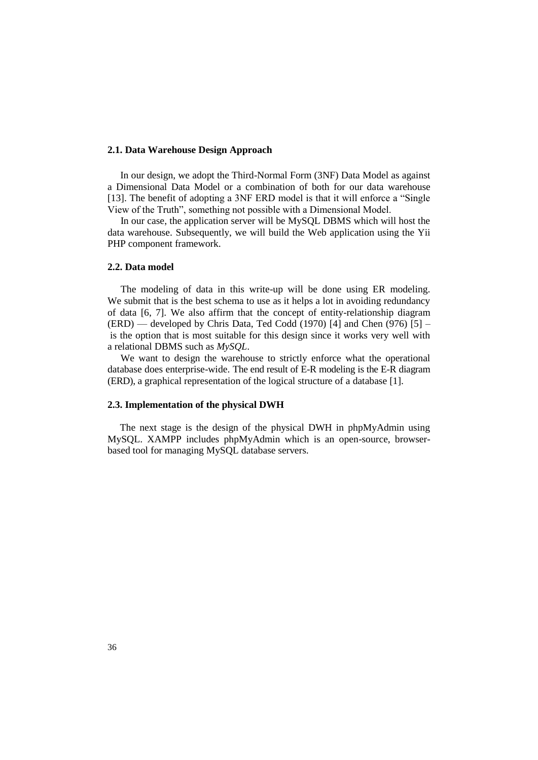### **2.1. Data Warehouse Design Approach**

In our design, we adopt the Third-Normal Form (3NF) Data Model as against a Dimensional Data Model or a combination of both for our data warehouse [13]. The benefit of adopting a 3NF ERD model is that it will enforce a "Single View of the Truth", something not possible with a Dimensional Model.

In our case, the application server will be MySQL DBMS which will host the data warehouse. Subsequently, we will build the Web application using the Yii PHP component framework.

### **2.2. Data model**

The modeling of data in this write-up will be done using ER modeling. We submit that is the best schema to use as it helps a lot in avoiding redundancy of data [6, 7]. We also affirm that the concept of entity-relationship diagram  $(ERD)$  — developed by Chris Data, Ted Codd (1970) [4] and Chen (976) [5] – is the option that is most suitable for this design since it works very well with a relational DBMS such as *MySQL*.

We want to design the warehouse to strictly enforce what the operational database does enterprise-wide. The end result of E-R modeling is the E-R diagram (ERD), a graphical representation of the logical structure of a database [1].

#### **2.3. Implementation of the physical DWH**

 The next stage is the design of the physical DWH in phpMyAdmin using MySQL. XAMPP includes phpMyAdmin which is an open-source, browserbased tool for managing MySQL database servers.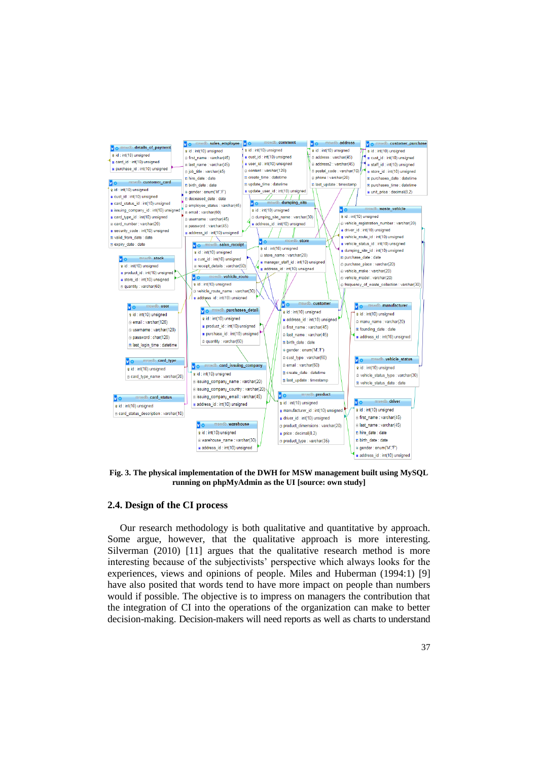

**Fig. 3. The physical implementation of the DWH for MSW management built using MySQL running on phpMyAdmin as the UI [source: own study]**

## **2.4. Design of the CI process**

 Our research methodology is both qualitative and quantitative by approach. Some argue, however, that the qualitative approach is more interesting. Silverman (2010) [11] argues that the qualitative research method is more interesting because of the subjectivists' perspective which always looks for the experiences, views and opinions of people. Miles and Huberman (1994:1) [9] have also posited that words tend to have more impact on people than numbers would if possible. The objective is to impress on managers the contribution that the integration of CI into the operations of the organization can make to better decision-making. Decision-makers will need reports as well as charts to understand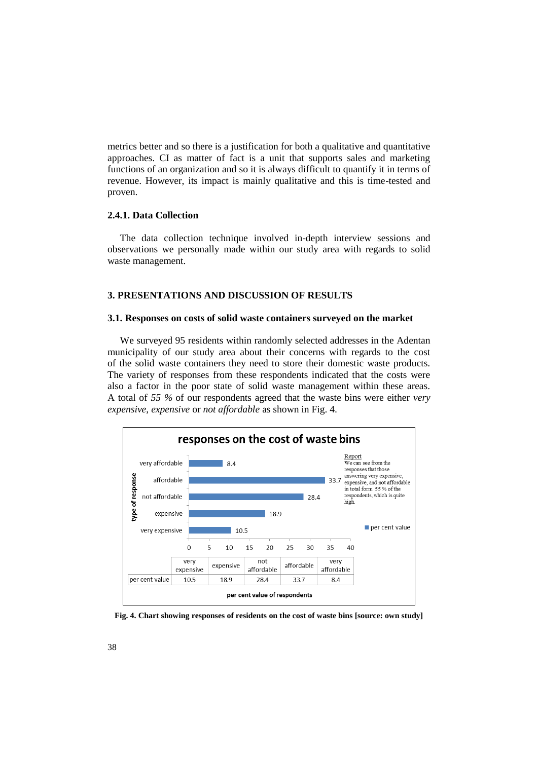metrics better and so there is a justification for both a qualitative and quantitative approaches. CI as matter of fact is a unit that supports sales and marketing functions of an organization and so it is always difficult to quantify it in terms of revenue. However, its impact is mainly qualitative and this is time-tested and proven.

### **2.4.1. Data Collection**

 The data collection technique involved in-depth interview sessions and observations we personally made within our study area with regards to solid waste management.

# **3. PRESENTATIONS AND DISCUSSION OF RESULTS**

#### **3.1. Responses on costs of solid waste containers surveyed on the market**

 We surveyed 95 residents within randomly selected addresses in the Adentan municipality of our study area about their concerns with regards to the cost of the solid waste containers they need to store their domestic waste products. The variety of responses from these respondents indicated that the costs were also a factor in the poor state of solid waste management within these areas. A total of *55 %* of our respondents agreed that the waste bins were either *very expensive*, *expensive* or *not affordable* as shown in Fig. 4.



**Fig. 4. Chart showing responses of residents on the cost of waste bins [source: own study]**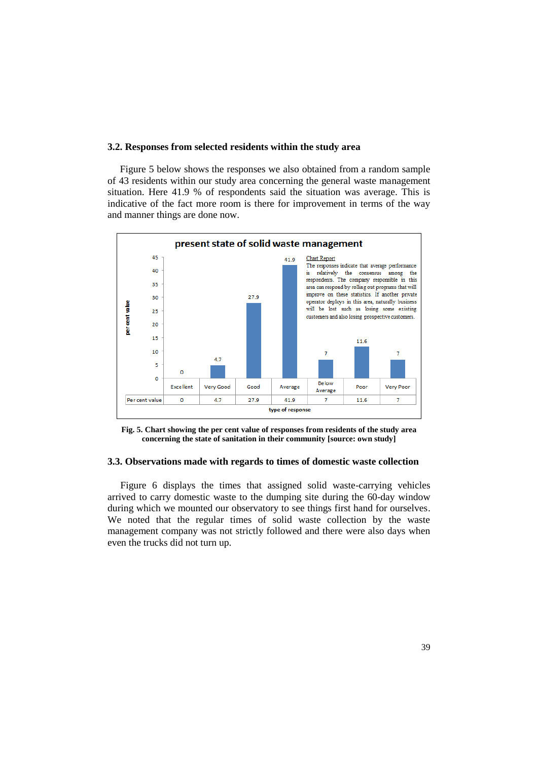#### **3.2. Responses from selected residents within the study area**

 Figure 5 below shows the responses we also obtained from a random sample of 43 residents within our study area concerning the general waste management situation. Here 41.9 % of respondents said the situation was average. This is indicative of the fact more room is there for improvement in terms of the way and manner things are done now.



**Fig. 5. Chart showing the per cent value of responses from residents of the study area concerning the state of sanitation in their community [source: own study]**

#### **3.3. Observations made with regards to times of domestic waste collection**

Figure 6 displays the times that assigned solid waste-carrying vehicles arrived to carry domestic waste to the dumping site during the 60-day window during which we mounted our observatory to see things first hand for ourselves. We noted that the regular times of solid waste collection by the waste management company was not strictly followed and there were also days when even the trucks did not turn up.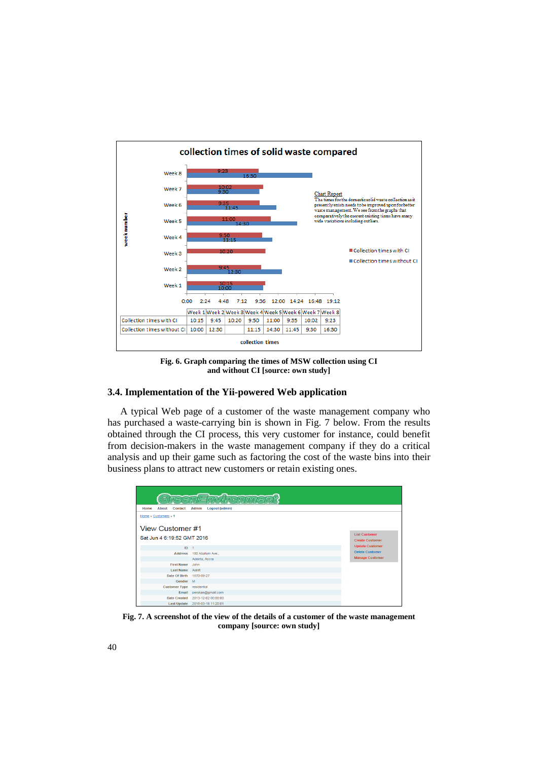

**Fig. 6. Graph comparing the times of MSW collection using CI and without CI [source: own study]**

### **3.4. Implementation of the Yii-powered Web application**

A typical Web page of a customer of the waste management company who has purchased a waste-carrying bin is shown in Fig. 7 below. From the results obtained through the CI process, this very customer for instance, could benefit from decision-makers in the waste management company if they do a critical analysis and up their game such as factoring the cost of the waste bins into their business plans to attract new customers or retain existing ones.

| $\bullet$<br>eenFn                                         |                                   |                                                |
|------------------------------------------------------------|-----------------------------------|------------------------------------------------|
| About<br><b>Admin</b><br>Logout (admin)<br>Home<br>Contact |                                   |                                                |
| Home » Customers » 1                                       |                                   |                                                |
| View Customer #1<br>Sat Jun 4 6:19:52 GMT 2016             |                                   | <b>List Customer</b><br><b>Create Customer</b> |
| ID                                                         | $\overline{1}$                    | <b>Update Customer</b>                         |
| <b>Address</b>                                             |                                   | <b>Delete Customer</b>                         |
|                                                            | 100 Abafum Ave.,<br>Adenta, Accra | <b>Manage Customer</b>                         |
| <b>First Name</b>                                          | John                              |                                                |
| Last Name Asirifi                                          |                                   |                                                |
| Date Of Birth                                              | 1970-09-27                        |                                                |
| Gender M                                                   |                                   |                                                |
| <b>Customer Type</b>                                       | residential                       |                                                |
| Email                                                      | perokae@gmail.com                 |                                                |
| <b>Date Created</b>                                        | 2013-12-02 00:00:00               |                                                |
| <b>Last Update</b>                                         | 2016-03-18 11:20:01               |                                                |

**Fig. 7. A screenshot of the view of the details of a customer of the waste management company [source: own study]**